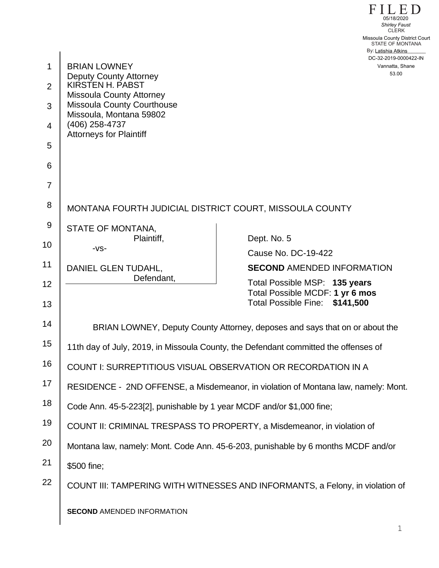FILED STATE OF MONTANA By: Latishia Atkins CLERK 53.00 Missoula County District Court<br>CLERK<br>Missoula County District Court<br>STATE OF MONTANA<br>By: Latishia Atkins<br>DC-32-2019-0000422-IN<br>Vannatta, Shane<br>53.00

|                |                                                                                     | By: Latishia Atkins<br>DC-32-2019-000042                          |
|----------------|-------------------------------------------------------------------------------------|-------------------------------------------------------------------|
| 1              | <b>BRIAN LOWNEY</b>                                                                 | Vannatta, Shane<br>53.00                                          |
| 2              | <b>Deputy County Attorney</b><br>KIRSTEN H. PABST                                   |                                                                   |
| 3              | <b>Missoula County Attorney</b><br><b>Missoula County Courthouse</b>                |                                                                   |
| $\overline{4}$ | Missoula, Montana 59802<br>(406) 258-4737<br><b>Attorneys for Plaintiff</b>         |                                                                   |
| 5              |                                                                                     |                                                                   |
| 6              |                                                                                     |                                                                   |
| $\overline{7}$ |                                                                                     |                                                                   |
| 8              | MONTANA FOURTH JUDICIAL DISTRICT COURT, MISSOULA COUNTY                             |                                                                   |
|                |                                                                                     |                                                                   |
| 9              | STATE OF MONTANA,<br>Plaintiff,                                                     | Dept. No. 5                                                       |
| 10             | $-VS-$                                                                              | Cause No. DC-19-422                                               |
| 11             | DANIEL GLEN TUDAHL,                                                                 | <b>SECOND AMENDED INFORMATION</b>                                 |
| 12             | Defendant,                                                                          | Total Possible MSP: 135 years                                     |
| 13             |                                                                                     | Total Possible MCDF: 1 yr 6 mos<br>Total Possible Fine: \$141,500 |
| 14             | BRIAN LOWNEY, Deputy County Attorney, deposes and says that on or about the         |                                                                   |
| 15             | 11th day of July, 2019, in Missoula County, the Defendant committed the offenses of |                                                                   |
| 16             | COUNT I: SURREPTITIOUS VISUAL OBSERVATION OR RECORDATION IN A                       |                                                                   |
| 17             | RESIDENCE - 2ND OFFENSE, a Misdemeanor, in violation of Montana law, namely: Mont.  |                                                                   |
| 18             | Code Ann. 45-5-223[2], punishable by 1 year MCDF and/or \$1,000 fine;               |                                                                   |
| 19             | COUNT II: CRIMINAL TRESPASS TO PROPERTY, a Misdemeanor, in violation of             |                                                                   |
| 20             | Montana law, namely: Mont. Code Ann. 45-6-203, punishable by 6 months MCDF and/or   |                                                                   |
| 21             | \$500 fine;                                                                         |                                                                   |
| 22             | COUNT III: TAMPERING WITH WITNESSES AND INFORMANTS, a Felony, in violation of       |                                                                   |
|                | <b>SECOND AMENDED INFORMATION</b>                                                   |                                                                   |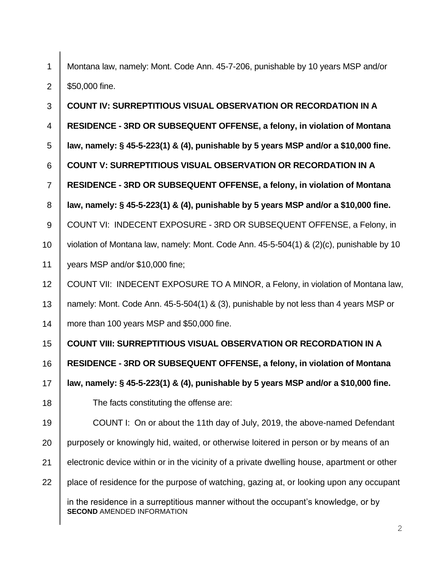1 2 Montana law, namely: Mont. Code Ann. 45-7-206, punishable by 10 years MSP and/or \$50,000 fine.

3 4 5 6 7 8 9 10 11 12 13 14 15 16 17 18 19 20 21 22 **SECOND** AMENDED INFORMATION **COUNT IV: SURREPTITIOUS VISUAL OBSERVATION OR RECORDATION IN A RESIDENCE - 3RD OR SUBSEQUENT OFFENSE, a felony, in violation of Montana law, namely: § 45-5-223(1) & (4), punishable by 5 years MSP and/or a \$10,000 fine. COUNT V: SURREPTITIOUS VISUAL OBSERVATION OR RECORDATION IN A RESIDENCE - 3RD OR SUBSEQUENT OFFENSE, a felony, in violation of Montana law, namely: § 45-5-223(1) & (4), punishable by 5 years MSP and/or a \$10,000 fine.** COUNT VI: INDECENT EXPOSURE - 3RD OR SUBSEQUENT OFFENSE, a Felony, in violation of Montana law, namely: Mont. Code Ann. 45-5-504(1) & (2)(c), punishable by 10 years MSP and/or \$10,000 fine; COUNT VII: INDECENT EXPOSURE TO A MINOR, a Felony, in violation of Montana law, namely: Mont. Code Ann. 45-5-504(1) & (3), punishable by not less than 4 years MSP or more than 100 years MSP and \$50,000 fine. **COUNT VIII: SURREPTITIOUS VISUAL OBSERVATION OR RECORDATION IN A RESIDENCE - 3RD OR SUBSEQUENT OFFENSE, a felony, in violation of Montana law, namely: § 45-5-223(1) & (4), punishable by 5 years MSP and/or a \$10,000 fine.** The facts constituting the offense are: COUNT I: On or about the 11th day of July, 2019, the above-named Defendant purposely or knowingly hid, waited, or otherwise loitered in person or by means of an electronic device within or in the vicinity of a private dwelling house, apartment or other place of residence for the purpose of watching, gazing at, or looking upon any occupant in the residence in a surreptitious manner without the occupant's knowledge, or by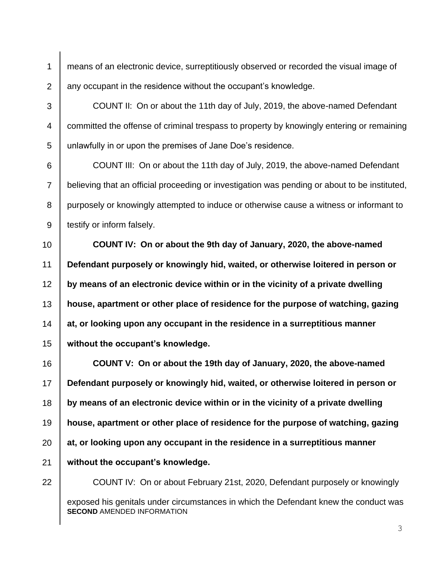2 means of an electronic device, surreptitiously observed or recorded the visual image of any occupant in the residence without the occupant's knowledge.

COUNT II: On or about the 11th day of July, 2019, the above-named Defendant committed the offense of criminal trespass to property by knowingly entering or remaining unlawfully in or upon the premises of Jane Doe's residence.

COUNT III: On or about the 11th day of July, 2019, the above-named Defendant believing that an official proceeding or investigation was pending or about to be instituted, purposely or knowingly attempted to induce or otherwise cause a witness or informant to testify or inform falsely.

10 12 13 14 15 **COUNT IV: On or about the 9th day of January, 2020, the above-named Defendant purposely or knowingly hid, waited, or otherwise loitered in person or by means of an electronic device within or in the vicinity of a private dwelling house, apartment or other place of residence for the purpose of watching, gazing at, or looking upon any occupant in the residence in a surreptitious manner without the occupant's knowledge.**

16 17 18 19 20 21 **COUNT V: On or about the 19th day of January, 2020, the above-named Defendant purposely or knowingly hid, waited, or otherwise loitered in person or by means of an electronic device within or in the vicinity of a private dwelling house, apartment or other place of residence for the purpose of watching, gazing at, or looking upon any occupant in the residence in a surreptitious manner without the occupant's knowledge.**

22

1

3

4

5

6

7

8

9

11

COUNT IV: On or about February 21st, 2020, Defendant purposely or knowingly

**SECOND** AMENDED INFORMATION exposed his genitals under circumstances in which the Defendant knew the conduct was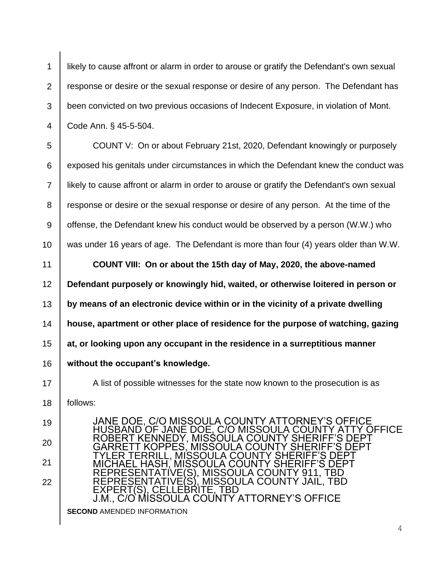2 3 4 likely to cause affront or alarm in order to arouse or gratify the Defendant's own sexual response or desire or the sexual response or desire of any person. The Defendant has been convicted on two previous occasions of Indecent Exposure, in violation of Mont. Code Ann. § 45-5-504.

7 COUNT V: On or about February 21st, 2020, Defendant knowingly or purposely exposed his genitals under circumstances in which the Defendant knew the conduct was likely to cause affront or alarm in order to arouse or gratify the Defendant's own sexual response or desire or the sexual response or desire of any person. At the time of the offense, the Defendant knew his conduct would be observed by a person (W.W.) who was under 16 years of age. The Defendant is more than four (4) years older than W.W.

11 12 13 14 15 16 **COUNT VIII: On or about the 15th day of May, 2020, the above-named Defendant purposely or knowingly hid, waited, or otherwise loitered in person or by means of an electronic device within or in the vicinity of a private dwelling house, apartment or other place of residence for the purpose of watching, gazing at, or looking upon any occupant in the residence in a surreptitious manner without the occupant's knowledge.**

A list of possible witnesses for the state now known to the prosecution is as follows:

20 21 22

17

18

19

1

5

6

8

9

10

**SECOND** AMENDED INFORMATION JANE DOE, C/O MISSOULA COUNTY ATTORNEY'S OFFICE HUSBAND OF JANE DOE, C/O MISSOULA COUNTY ATTY OFFICE ROBERT KENNEDY, MISSOULA COUNTY SHERIFF'S DEPT GARRETT KOPPES, MISSOULA COUNTY SHERIFF'S DEPT TYLER TERRILL, MISSOULA COUNTY SHERIFF'S DEPT MICHAEL HASH, MISSOULA COUNTY SHERIFF'S DEPT REPRESENTATIVE(S), MISSOULA COUNTY 911, TBD REPRESENTATIVE(S), MISSOULA COUNTY JAIL, TBD EXPERT(S), CELLEBRITE, TBD J.M., C/O MISSOULA COUNTY ATTORNEY'S OFFICE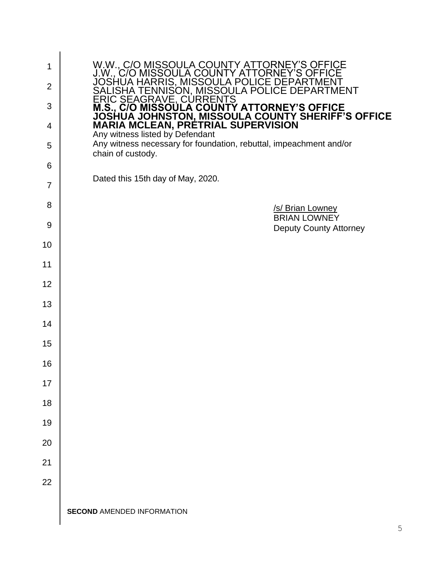| 1<br>$\overline{2}$<br>3<br>4<br>5<br>6 | W.W., C/O MISSOULA COUNTY ATTORNEY'S OFFICE<br>J.W., C/O MISSOULA COUNTY ATTORNEY'S OFFICE<br>JOSHUA HARRIS, MISSOULA POLICE DEPARTMENT<br>SALISHA TENNISON, MISSOULA POLICE DEPARTMENT<br>SALISHA TENNISON, MISSOULA POLICE DEPARTMENT<br>ERIC SEAGRAVE, CURRENTS<br>M.S., C/O MISSOULA COUNTY ATTORNEY'S OFFICE<br>JOSHUA JOHNSTON, MISSO<br>Any witness necessary for foundation, rebuttal, impeachment and/or<br>chain of custody. |
|-----------------------------------------|----------------------------------------------------------------------------------------------------------------------------------------------------------------------------------------------------------------------------------------------------------------------------------------------------------------------------------------------------------------------------------------------------------------------------------------|
| 7                                       | Dated this 15th day of May, 2020.                                                                                                                                                                                                                                                                                                                                                                                                      |
| 8                                       | /s/ Brian Lowney                                                                                                                                                                                                                                                                                                                                                                                                                       |
| 9                                       | <b>BRIAN LOWNEY</b><br>Deputy County Attorney                                                                                                                                                                                                                                                                                                                                                                                          |
| 10                                      |                                                                                                                                                                                                                                                                                                                                                                                                                                        |
| 11                                      |                                                                                                                                                                                                                                                                                                                                                                                                                                        |
| 12                                      |                                                                                                                                                                                                                                                                                                                                                                                                                                        |
| 13                                      |                                                                                                                                                                                                                                                                                                                                                                                                                                        |
| 14                                      |                                                                                                                                                                                                                                                                                                                                                                                                                                        |
| 15                                      |                                                                                                                                                                                                                                                                                                                                                                                                                                        |
| 16                                      |                                                                                                                                                                                                                                                                                                                                                                                                                                        |
| 17                                      |                                                                                                                                                                                                                                                                                                                                                                                                                                        |
| 18                                      |                                                                                                                                                                                                                                                                                                                                                                                                                                        |
| 19                                      |                                                                                                                                                                                                                                                                                                                                                                                                                                        |
| 20                                      |                                                                                                                                                                                                                                                                                                                                                                                                                                        |
| 21                                      |                                                                                                                                                                                                                                                                                                                                                                                                                                        |
| 22                                      |                                                                                                                                                                                                                                                                                                                                                                                                                                        |
|                                         | <b>SECOND AMENDED INFORMATION</b>                                                                                                                                                                                                                                                                                                                                                                                                      |